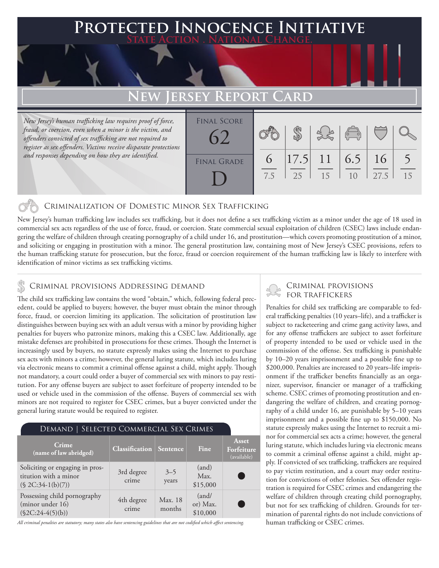# **PTED INNOCENCE INITIATIVE State Action . National Change. ERSEY REPORT CARD**

*New Jersey's human trafficking law requires proof of force, fraud, or coercion, even when a minor is the victim, and offenders convicted of sex trafficking are not required to register as sex offenders. Victims receive disparate protections and responses depending on how they are identified.*

| <b>FINAL SCORE</b> |          |            |                   | $\begin{pmatrix} 0 & 0 \\ 0 & 0 \end{pmatrix}$ |      |    |
|--------------------|----------|------------|-------------------|------------------------------------------------|------|----|
| <b>FINAL GRADE</b> | 6<br>7.5 | $\vert$ 25 | $ 17.5 $ 11<br>15 | $6.5 \, \, 16$<br>1 <sub>0</sub>               | 27.5 | 15 |

### Criminalization of Domestic Minor Sex Trafficking

New Jersey's human trafficking law includes sex trafficking, but it does not define a sex trafficking victim as a minor under the age of 18 used in commercial sex acts regardless of the use of force, fraud, or coercion. State commercial sexual exploitation of children (CSEC) laws include endangering the welfare of children through creating pornography of a child under 16, and prostitution—which covers promoting prostitution of a minor, and soliciting or engaging in prostitution with a minor. The general prostitution law, containing most of New Jersey's CSEC provisions, refers to the human trafficking statute for prosecution, but the force, fraud or coercion requirement of the human trafficking law is likely to interfere with identification of minor victims as sex trafficking victims.

### CRIMINAL PROVISIONS ADDRESSING DEMAND

The child sex trafficking law contains the word "obtain," which, following federal precedent, could be applied to buyers; however, the buyer must obtain the minor through force, fraud, or coercion limiting its application. The solicitation of prostitution law distinguishes between buying sex with an adult versus with a minor by providing higher penalties for buyers who patronize minors, making this a CSEC law. Additionally, age mistake defenses are prohibited in prosecutions for these crimes. Though the Internet is increasingly used by buyers, no statute expressly makes using the Internet to purchase sex acts with minors a crime; however, the general luring statute, which includes luring via electronic means to commit a criminal offense against a child, might apply. Though not mandatory, a court could order a buyer of commercial sex with minors to pay restitution. For any offense buyers are subject to asset forfeiture of property intended to be used or vehicle used in the commission of the offense. Buyers of commercial sex with minors are not required to register for CSEC crimes, but a buyer convicted under the general luring statute would be required to register.

| DEMAND   SELECTED COMMERCIAL SEX CRIMES                                         |                                |                   |                               |                                           |  |  |  |  |
|---------------------------------------------------------------------------------|--------------------------------|-------------------|-------------------------------|-------------------------------------------|--|--|--|--|
| Crime<br>(name of law abridged)                                                 | <b>Classification</b> Sentence |                   | Fine                          | <b>Asset</b><br>Forfeiture<br>(available) |  |  |  |  |
| Soliciting or engaging in pros-<br>titution with a minor<br>$(S 2C:34-1(b)(7))$ | 3rd degree<br>crime            | $3 - 5$<br>years  | (and)<br>Max.<br>\$15,000     |                                           |  |  |  |  |
| Possessing child pornography<br>(minor under 16)<br>$(\$2C:24-4(5)(b))$         | 4th degree<br>crime            | Max. 18<br>months | (and/<br>or) Max.<br>\$10,000 |                                           |  |  |  |  |

*All criminal penalties are statutory; many states also have sentencing guidelines that are not codified which affect sentencing.* 

## Criminal provisions

Penalties for child sex trafficking are comparable to federal trafficking penalties (10 years–life), and a trafficker is subject to racketeering and crime gang activity laws, and for any offense traffickers are subject to asset forfeiture of property intended to be used or vehicle used in the commission of the offense. Sex trafficking is punishable by 10–20 years imprisonment and a possible fine up to \$200,000. Penalties are increased to 20 years–life imprisonment if the trafficker benefits financially as an organizer, supervisor, financier or manager of a trafficking scheme. CSEC crimes of promoting prostitution and endangering the welfare of children, and creating pornography of a child under 16, are punishable by 5–10 years imprisonment and a possible fine up to \$150,000. No statute expressly makes using the Internet to recruit a minor for commercial sex acts a crime; however, the general luring statute, which includes luring via electronic means to commit a criminal offense against a child, might apply. If convicted of sex trafficking, traffickers are required to pay victim restitution, and a court may order restitution for convictions of other felonies. Sex offender registration is required for CSEC crimes and endangering the welfare of children through creating child pornography, but not for sex trafficking of children. Grounds for termination of parental rights do not include convictions of human trafficking or CSEC crimes.